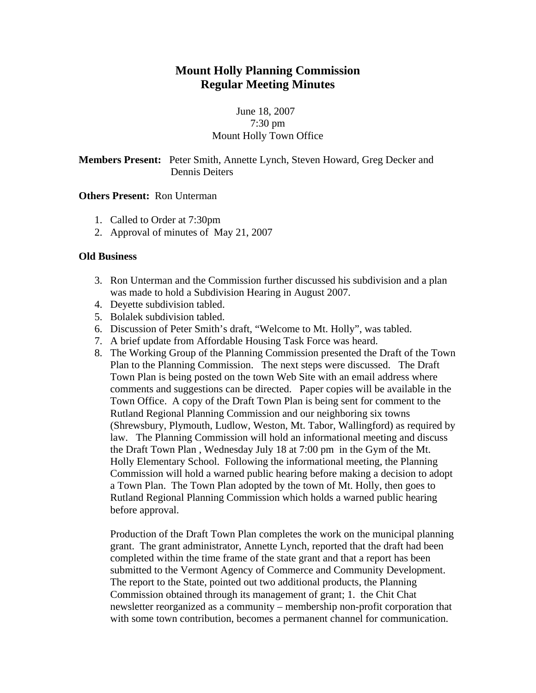# **Mount Holly Planning Commission Regular Meeting Minutes**

# June 18, 2007 7:30 pm Mount Holly Town Office

**Members Present:** Peter Smith, Annette Lynch, Steven Howard, Greg Decker and Dennis Deiters

## **Others Present:** Ron Unterman

- 1. Called to Order at 7:30pm
- 2. Approval of minutes of May 21, 2007

## **Old Business**

- 3. Ron Unterman and the Commission further discussed his subdivision and a plan was made to hold a Subdivision Hearing in August 2007.
- 4. Deyette subdivision tabled.
- 5. Bolalek subdivision tabled.
- 6. Discussion of Peter Smith's draft, "Welcome to Mt. Holly", was tabled.
- 7. A brief update from Affordable Housing Task Force was heard.
- 8. The Working Group of the Planning Commission presented the Draft of the Town Plan to the Planning Commission. The next steps were discussed. The Draft Town Plan is being posted on the town Web Site with an email address where comments and suggestions can be directed. Paper copies will be available in the Town Office. A copy of the Draft Town Plan is being sent for comment to the Rutland Regional Planning Commission and our neighboring six towns (Shrewsbury, Plymouth, Ludlow, Weston, Mt. Tabor, Wallingford) as required by law. The Planning Commission will hold an informational meeting and discuss the Draft Town Plan , Wednesday July 18 at 7:00 pm in the Gym of the Mt. Holly Elementary School. Following the informational meeting, the Planning Commission will hold a warned public hearing before making a decision to adopt a Town Plan. The Town Plan adopted by the town of Mt. Holly, then goes to Rutland Regional Planning Commission which holds a warned public hearing before approval.

Production of the Draft Town Plan completes the work on the municipal planning grant. The grant administrator, Annette Lynch, reported that the draft had been completed within the time frame of the state grant and that a report has been submitted to the Vermont Agency of Commerce and Community Development. The report to the State, pointed out two additional products, the Planning Commission obtained through its management of grant; 1. the Chit Chat newsletter reorganized as a community – membership non-profit corporation that with some town contribution, becomes a permanent channel for communication.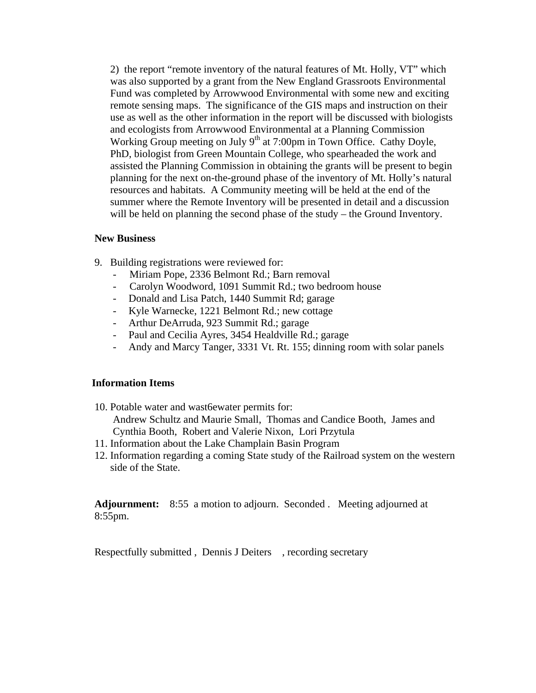2) the report "remote inventory of the natural features of Mt. Holly, VT" which was also supported by a grant from the New England Grassroots Environmental Fund was completed by Arrowwood Environmental with some new and exciting remote sensing maps. The significance of the GIS maps and instruction on their use as well as the other information in the report will be discussed with biologists and ecologists from Arrowwood Environmental at a Planning Commission Working Group meeting on July 9<sup>th</sup> at 7:00pm in Town Office. Cathy Doyle, PhD, biologist from Green Mountain College, who spearheaded the work and assisted the Planning Commission in obtaining the grants will be present to begin planning for the next on-the-ground phase of the inventory of Mt. Holly's natural resources and habitats. A Community meeting will be held at the end of the summer where the Remote Inventory will be presented in detail and a discussion will be held on planning the second phase of the study – the Ground Inventory.

#### **New Business**

- 9. Building registrations were reviewed for:
	- Miriam Pope, 2336 Belmont Rd.; Barn removal
	- Carolyn Woodword, 1091 Summit Rd.; two bedroom house
	- Donald and Lisa Patch, 1440 Summit Rd; garage
	- Kyle Warnecke, 1221 Belmont Rd.; new cottage
	- Arthur DeArruda, 923 Summit Rd.; garage
	- Paul and Cecilia Ayres, 3454 Healdville Rd.; garage
	- Andy and Marcy Tanger, 3331 Vt. Rt. 155; dinning room with solar panels

## **Information Items**

10. Potable water and wast6ewater permits for:

Andrew Schultz and Maurie Small, Thomas and Candice Booth, James and Cynthia Booth, Robert and Valerie Nixon, Lori Przytula

- 11. Information about the Lake Champlain Basin Program
- 12. Information regarding a coming State study of the Railroad system on the western side of the State.

**Adjournment:** 8:55 a motion to adjourn. Seconded . Meeting adjourned at 8:55pm.

Respectfully submitted , Dennis J Deiters , recording secretary